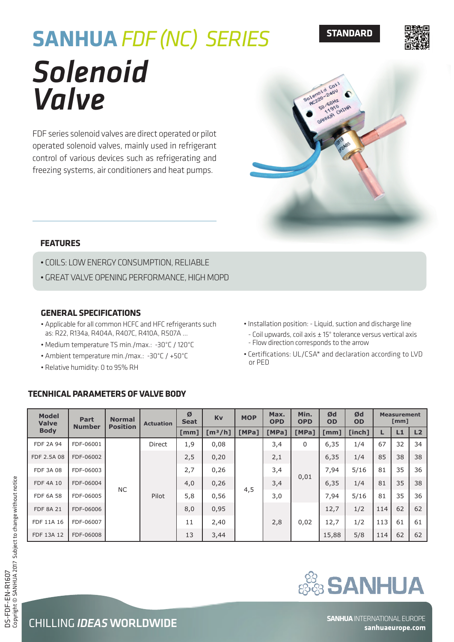# *Solenoid Valve* **SANHUA** *FDF (NC) SERIES*

FDF series solenoid valves are direct operated or pilot operated solenoid valves, mainly used in refrigerant control of various devices such as refrigerating and freezing systems, air conditioners and heat pumps.

### **FEATURES**

- COILS: LOW ENERGY CONSUMPTION, RELIABLE
- GREAT VALVE OPENING PERFORMANCE, HIGH MOPD

### **GENERAL SPECIFICATIONS**

- Applicable for all common HCFC and HFC refrigerants such as: R22, R134a, R404A, R407C, R410A, R507A …
- Medium temperature TS min./max.: -30°C / 120°C
- Ambient temperature min./max.: -30°C / +50°C
- Relative humidity: 0 to 95% RH

# **TECNHICAL PARAMETERS OF VALVE BODY**

| . Installation position: - Liquid, suction and discharge line  |
|----------------------------------------------------------------|
| - Coil upwards, coil axis ± 15° tolerance versus vertical axis |

- Flow direction corresponds to the arrow
- Certifications: UL/CSA\* and declaration according to LVD or PED

| <b>Model</b><br><b>Valve</b><br><b>Body</b> | Part<br><b>Number</b> | <b>Normal</b><br><b>Position</b> | <b>Actuation</b> | Ø<br><b>Seat</b> | Kv                  | <b>MOP</b> | Min.<br>Max.<br><b>OPD</b><br><b>OPD</b> |       | Ød<br><b>OD</b>    | Ød<br><b>OD</b> | <b>Measurement</b><br>[mm] |    |                |
|---------------------------------------------|-----------------------|----------------------------------|------------------|------------------|---------------------|------------|------------------------------------------|-------|--------------------|-----------------|----------------------------|----|----------------|
|                                             |                       |                                  |                  | [mm]             | [m <sup>3</sup> /h] | [MPa]      | [MPa]                                    | [MPa] | $\lceil mm \rceil$ | [inch]          |                            | L1 | L <sub>2</sub> |
| <b>FDF 2A 94</b>                            | FDF-06001             | NC.                              | <b>Direct</b>    | 1,9              | 0,08                |            | 3,4                                      | 0     | 6,35               | 1/4             | 67                         | 32 | 34             |
| FDF 2.5A 08                                 | FDF-06002             |                                  | Pilot            | 2,5              | 0,20                | 4,5        | 2,1                                      | 0,01  | 6,35               | 1/4             | 85                         | 38 | 38             |
| <b>FDF 3A 08</b>                            | FDF-06003             |                                  |                  | 2,7              | 0,26                |            | 3,4                                      |       | 7,94               | 5/16            | 81                         | 35 | 36             |
| <b>FDF 4A 10</b>                            | FDF-06004             |                                  |                  | 4,0              | 0,26                |            | 3,4                                      |       | 6,35               | 1/4             | 81                         | 35 | 38             |
| <b>FDF 6A 58</b>                            | FDF-06005             |                                  |                  | 5,8              | 0,56                |            | 3,0                                      |       | 7,94               | 5/16            | 81                         | 35 | 36             |
| <b>FDF 8A 21</b>                            | FDF-06006             |                                  |                  | 8,0              | 0,95                |            |                                          |       | 12,7               | 1/2             | 114                        | 62 | 62             |
| FDF 11A 16                                  | FDF-06007             |                                  |                  | 11               | 2,40                |            | 2,8                                      | 0,02  | 12,7               | 1/2             | 113                        | 61 | 61             |
| FDF 13A 12                                  | FDF-06008             |                                  |                  | 13               | 3,44                |            |                                          |       | 15,88              | 5/8             | 114                        | 62 | 62             |



**STANDARD**

olenoid  $2404$ 20 / 60HZ  $910$ CHINE